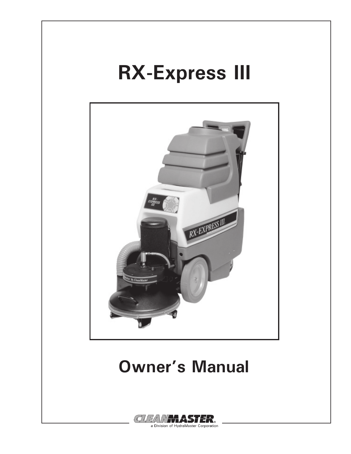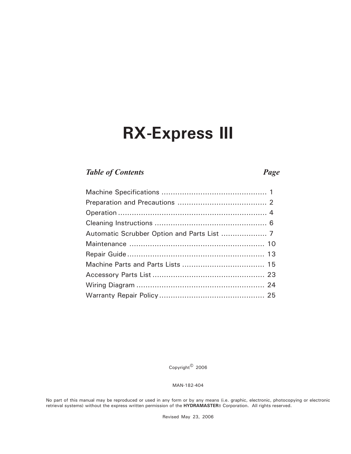### **RX-Express III**

#### *Table of Contents Page*

Copyright© 2006

MAN-182-404

No part of this manual may be reproduced or used in any form or by any means (i.e. graphic, electronic, photocopying or electronic retrieval systems) without the express written permission of the **HYDRAMASTER**8 Corporation. All rights reserved.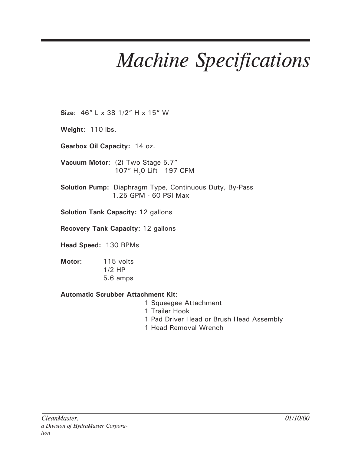## *Machine Specifications*

**Size**: 46" L x 38 1/2" H x 15" W

**Weight**: 110 lbs.

**Gearbox Oil Capacity:** 14 oz.

**Vacuum Motor:** (2) Two Stage 5.7" 107" H<sub>2</sub>0 Lift - 197 CFM

**Solution Pump:** Diaphragm Type, Continuous Duty, By-Pass 1.25 GPM - 60 PSI Max

**Solution Tank Capacity:** 12 gallons

**Recovery Tank Capacity:** 12 gallons

**Head Speed:** 130 RPMs

- **Motor:** 115 volts 1/2 HP
	- 5.6 amps

#### **Automatic Scrubber Attachment Kit:**

- 1 Squeegee Attachment
- 1 Trailer Hook
- 1 Pad Driver Head or Brush Head Assembly
- 1 Head Removal Wrench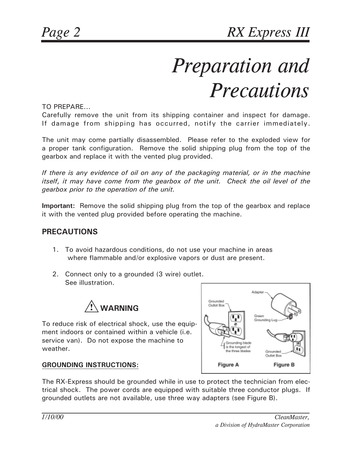# *Preparation and Precautions*

TO PREPARE...

Carefully remove the unit from its shipping container and inspect for damage. If damage from shipping has occurred, notify the carrier immediately.

The unit may come partially disassembled. Please refer to the exploded view for a proper tank configuration. Remove the solid shipping plug from the top of the gearbox and replace it with the vented plug provided.

*If there is any evidence of oil on any of the packaging material, or in the machine itself, it may have come from the gearbox of the unit. Check the oil level of the gearbox prior to the operation of the unit.*

**Important:** Remove the solid shipping plug from the top of the gearbox and replace it with the vented plug provided before operating the machine.

#### **PRECAUTIONS**

- 1. To avoid hazardous conditions, do not use your machine in areas where flammable and/or explosive vapors or dust are present.
- 2. Connect only to a grounded (3 wire) outlet. See illustration.



To reduce risk of electrical shock, use the equipment indoors or contained within a vehicle (i.e. service van). Do not expose the machine to weather.



#### **GROUNDING INSTRUCTIONS:**

The RX-Express should be grounded while in use to protect the technician from electrical shock. The power cords are equipped with suitable three conductor plugs. If grounded outlets are not available, use three way adapters (see Figure B).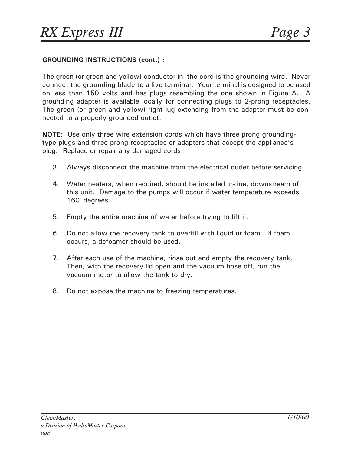#### **GROUNDING INSTRUCTIONS (cont.) :**

The green (or green and yellow) conductor in the cord is the grounding wire. Never connect the grounding blade to a live terminal. Your terminal is designed to be used on less than 150 volts and has plugs resembling the one shown in Figure A. A grounding adapter is available locally for connecting plugs to 2-prong receptacles. The green (or green and yellow) right lug extending from the adapter must be connected to a properly grounded outlet.

**NOTE:** Use only three wire extension cords which have three prong groundingtype plugs and three prong receptacles or adapters that accept the appliance's plug. Replace or repair any damaged cords.

- 3. Always disconnect the machine from the electrical outlet before servicing.
- 4. Water heaters, when required, should be installed in-line, downstream of this unit. Damage to the pumps will occur if water temperature exceeds 160 degrees.
- 5. Empty the entire machine of water before trying to lift it.
- 6. Do not allow the recovery tank to overfill with liquid or foam. If foam occurs, a defoamer should be used.
- 7. After each use of the machine, rinse out and empty the recovery tank. Then, with the recovery lid open and the vacuum hose off, run the vacuum motor to allow the tank to dry.
- 8. Do not expose the machine to freezing temperatures.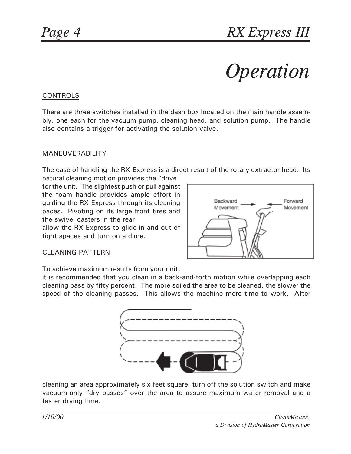# *Operation*

#### CONTROLS

There are three switches installed in the dash box located on the main handle assembly, one each for the vacuum pump, cleaning head, and solution pump. The handle also contains a trigger for activating the solution valve.

#### MANEUVERABILITY

The ease of handling the RX-Express is a direct result of the rotary extractor head. Its

natural cleaning motion provides the "drive" for the unit. The slightest push or pull against the foam handle provides ample effort in guiding the RX-Express through its cleaning paces. Pivoting on its large front tires and the swivel casters in the rear allow the RX-Express to glide in and out of tight spaces and turn on a dime.



#### CLEANING PATTERN

To achieve maximum results from your unit,

it is recommended that you clean in a back-and-forth motion while overlapping each cleaning pass by fifty percent. The more soiled the area to be cleaned, the slower the speed of the cleaning passes. This allows the machine more time to work. After



cleaning an area approximately six feet square, turn off the solution switch and make vacuum-only "dry passes" over the area to assure maximum water removal and a faster drying time.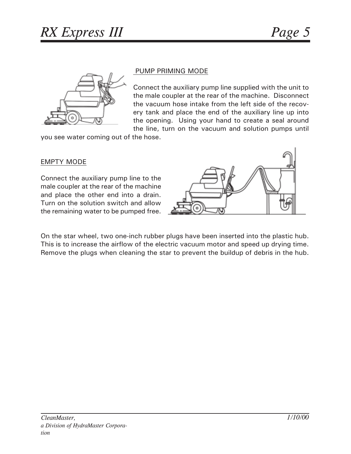

#### PUMP PRIMING MODE

Connect the auxiliary pump line supplied with the unit to the male coupler at the rear of the machine. Disconnect the vacuum hose intake from the left side of the recovery tank and place the end of the auxiliary line up into the opening. Using your hand to create a seal around the line, turn on the vacuum and solution pumps until

you see water coming out of the hose.

#### EMPTY MODE

Connect the auxiliary pump line to the male coupler at the rear of the machine and place the other end into a drain. Turn on the solution switch and allow the remaining water to be pumped free.



On the star wheel, two one-inch rubber plugs have been inserted into the plastic hub. This is to increase the airflow of the electric vacuum motor and speed up drying time. Remove the plugs when cleaning the star to prevent the buildup of debris in the hub.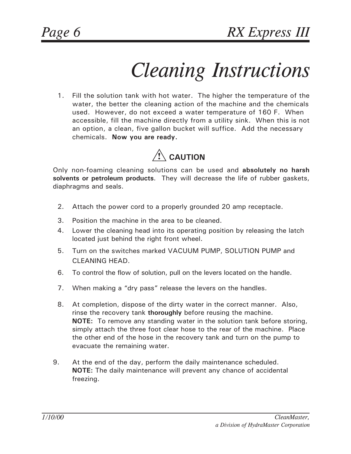### *Cleaning Instructions*

 1. Fill the solution tank with hot water. The higher the temperature of the water, the better the cleaning action of the machine and the chemicals used. However, do not exceed a water temperature of 160 F. When accessible, fill the machine directly from a utility sink. When this is not an option, a clean, five gallon bucket will suffice. Add the necessary chemicals. **Now you are ready.**



Only non-foaming cleaning solutions can be used and **absolutely no harsh solvents or petroleum products**. They will decrease the life of rubber gaskets, diaphragms and seals.

- 2. Attach the power cord to a properly grounded 20 amp receptacle.
- 3. Position the machine in the area to be cleaned.
- 4. Lower the cleaning head into its operating position by releasing the latch located just behind the right front wheel.
- 5. Turn on the switches marked VACUUM PUMP, SOLUTION PUMP and CLEANING HEAD.
- 6. To control the flow of solution, pull on the levers located on the handle.
- 7. When making a "dry pass" release the levers on the handles.
- 8. At completion, dispose of the dirty water in the correct manner. Also, rinse the recovery tank **thoroughly** before reusing the machine. **NOTE:** To remove any standing water in the solution tank before storing, simply attach the three foot clear hose to the rear of the machine. Place the other end of the hose in the recovery tank and turn on the pump to evacuate the remaining water.
- 9. At the end of the day, perform the daily maintenance scheduled. **NOTE:** The daily maintenance will prevent any chance of accidental freezing.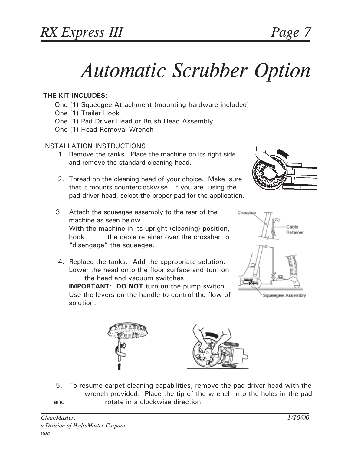### *Automatic Scrubber Option*

#### **THE KIT INCLUDES:**

- One (1) Squeegee Attachment (mounting hardware included)
- One (1) Trailer Hook
- One (1) Pad Driver Head or Brush Head Assembly
- One (1) Head Removal Wrench

#### INSTALLATION INSTRUCTIONS

- 1. Remove the tanks. Place the machine on its right side and remove the standard cleaning head.
- 2. Thread on the cleaning head of your choice. Make sure that it mounts counterclockwise. If you are using the pad driver head, select the proper pad for the application.
- 
- 3. Attach the squeegee assembly to the rear of the machine as seen below. With the machine in its upright (cleaning) position, hook the cable retainer over the crossbar to "disengage" the squeegee.
- 4. Replace the tanks. Add the appropriate solution. Lower the head onto the floor surface and turn on the head and vacuum switches.

**IMPORTANT: DO NOT** turn on the pump switch. Use the levers on the handle to control the flow of solution.







 5. To resume carpet cleaning capabilities, remove the pad driver head with the wrench provided. Place the tip of the wrench into the holes in the pad and **rotate in a clockwise direction.**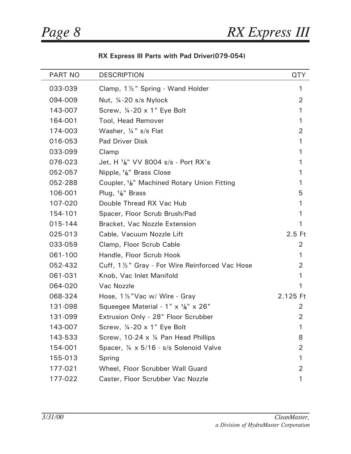$\overline{a}$ 

#### **RX Express III Parts with Pad Driver(079-054)**

| <b>PART NO</b> | <b>DESCRIPTION</b>                                                   | <b>QTY</b>     |
|----------------|----------------------------------------------------------------------|----------------|
| 033-039        | Clamp, 1 1/2" Spring - Wand Holder                                   | 1              |
| 094-009        | Nut, 1/4-20 s/s Nylock                                               | $\overline{2}$ |
| 143-007        | Screw, 1/4-20 x 1" Eye Bolt                                          | 1              |
| 164-001        | Tool, Head Remover                                                   | 1              |
| 174-003        | Washer, 1/4" s/s Flat                                                | $\overline{2}$ |
| 016-053        | <b>Pad Driver Disk</b>                                               | 1              |
| 033-099        | Clamp                                                                | 1              |
| 076-023        | Jet, H <sup>1</sup> / <sub>8</sub> " VV 8004 s/s - Port RX's         | 1              |
| 052-057        | Nipple, $\frac{1}{6}$ " Brass Close                                  | 1              |
| 052-288        | Coupler, <sup>1</sup> / <sub>8</sub> " Machined Rotary Union Fitting | 1              |
| 106-001        | Plug, $\frac{1}{6}$ " Brass                                          | 5              |
| 107-020        | Double Thread RX Vac Hub                                             | 1              |
| 154-101        | Spacer, Floor Scrub Brush/Pad                                        | 1              |
| 015-144        | Bracket, Vac Nozzle Extension                                        | 1              |
| 025-013        | Cable, Vacuum Nozzle Lift                                            | $2.5$ Ft       |
| 033-059        | Clamp, Floor Scrub Cable                                             | 2              |
| 061-100        | Handle, Floor Scrub Hook                                             | 1              |
| 052-432        | Cuff, 1 1/2" Gray - For Wire Reinforced Vac Hose                     | 2              |
| 061-031        | Knob, Vac Inlet Manifold                                             | 1              |
| 064-020        | Vac Nozzle                                                           | 1              |
| 068-324        | Hose, 1 1/2 "Vac w/ Wire - Gray                                      | 2.125 Ft       |
| 131-098        | Squeegee Material - 1" x <sup>1</sup> / <sub>8</sub> " x 26"         | 2              |
| 131-099        | Extrusion Only - 28" Floor Scrubber                                  | 2              |
| 143-007        | Screw, 1/4-20 x 1" Eye Bolt                                          |                |
| 143-533        | Screw, 10-24 x 1/4 Pan Head Phillips                                 | 8              |
| 154-001        | Spacer, 1/4 x 5/16 - s/s Solenoid Valve                              | 2              |
| 155-013        | Spring                                                               | 1              |
| 177-021        | Wheel, Floor Scrubber Wall Guard                                     | $\overline{2}$ |
| 177-022        | Caster, Floor Scrubber Vac Nozzle                                    | 1              |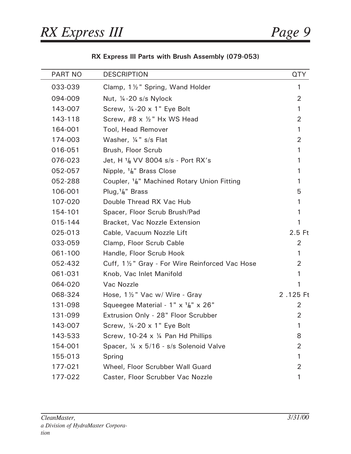L, L,

| <b>PART NO</b> | <b>DESCRIPTION</b>                                                   | <b>QTY</b>     |
|----------------|----------------------------------------------------------------------|----------------|
| 033-039        | Clamp, 1 1/2" Spring, Wand Holder                                    | $\mathbf{1}$   |
| 094-009        | Nut, $\frac{1}{4}$ -20 s/s Nylock                                    | $\overline{2}$ |
| 143-007        | Screw, $\frac{1}{4}$ -20 x 1" Eye Bolt                               | 1              |
| 143-118        | Screw, #8 x 1/2" Hx WS Head                                          | 2              |
| 164-001        | <b>Tool, Head Remover</b>                                            | 1              |
| 174-003        | Washer, 1/4" s/s Flat                                                | 2              |
| 016-051        | Brush, Floor Scrub                                                   | 1              |
| 076-023        | Jet, H <sup>1</sup> / <sub>8</sub> VV 8004 s/s - Port RX's           | 1              |
| 052-057        | Nipple, $\frac{1}{8}$ " Brass Close                                  | 1              |
| 052-288        | Coupler, <sup>1</sup> / <sub>8</sub> " Machined Rotary Union Fitting | 1              |
| 106-001        | Plug, $\frac{1}{8}$ " Brass                                          | 5              |
| 107-020        | Double Thread RX Vac Hub                                             | 1              |
| 154-101        | Spacer, Floor Scrub Brush/Pad                                        | 1              |
| 015-144        | Bracket, Vac Nozzle Extension                                        | 1              |
| 025-013        | Cable, Vacuum Nozzle Lift                                            | $2.5$ Ft       |
| 033-059        | Clamp, Floor Scrub Cable                                             | 2              |
| 061-100        | Handle, Floor Scrub Hook                                             | 1              |
| 052-432        | Cuff, 1½" Gray - For Wire Reinforced Vac Hose                        | 2              |
| 061-031        | Knob, Vac Inlet Manifold                                             | 1              |
| 064-020        | Vac Nozzle                                                           | 1              |
| 068-324        | Hose, 1 1/2" Vac w/ Wire - Gray                                      | 2.125 Ft       |
| 131-098        | Squeegee Material - 1" x <sup>1</sup> / <sub>8</sub> " x 26"         | $\overline{2}$ |
| 131-099        | Extrusion Only - 28" Floor Scrubber                                  | $\overline{2}$ |
| 143-007        | Screw, $\frac{1}{4}$ -20 x 1" Eye Bolt                               | 1              |
| 143-533        | Screw, 10-24 x 1/4 Pan Hd Phillips                                   | 8              |
| 154-001        | Spacer, 1/4 x 5/16 - s/s Solenoid Valve                              | 2              |
| 155-013        | Spring                                                               | 1              |
| 177-021        | Wheel, Floor Scrubber Wall Guard                                     | 2              |
| 177-022        | Caster, Floor Scrubber Vac Nozzle                                    | 1              |

**RX Express III Parts with Brush Assembly (079-053)**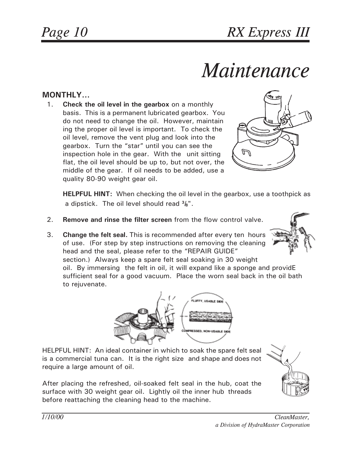### *Maintenance*

### **MONTHLY...**

 1. **Check the oil level in the gearbox** on a monthly basis. This is a permanent lubricated gearbox. You do not need to change the oil. However, maintain ing the proper oil level is important. To check the oil level, remove the vent plug and look into the gearbox. Turn the "star" until you can see the inspection hole in the gear. With the unit sitting flat, the oil level should be up to, but not over, the middle of the gear. If oil needs to be added, use a quality 80-90 weight gear oil.



**HELPFUL HINT:** When checking the oil level in the gearbox, use a toothpick as a dipstick. The oil level should read **3/8**".

- 2. **Remove and rinse the filter screen** from the flow control valve.
- 3. **Change the felt seal.** This is recommended after every ten hours of use. (For step by step instructions on removing the cleaning head and the seal, please refer to the "REPAIR GUIDE" section.) Always keep a spare felt seal soaking in 30 weight oil. By immersing the felt in oil, it will expand like a sponge and providE sufficient seal for a good vacuum. Place the worn seal back in the oil bath to rejuvenate.



HELPFUL HINT: An ideal container in which to soak the spare felt seal is a commercial tuna can. It is the right size and shape and does not require a large amount of oil.

After placing the refreshed, oil-soaked felt seal in the hub, coat the surface with 30 weight gear oil. Lightly oil the inner hub threads before reattaching the cleaning head to the machine.

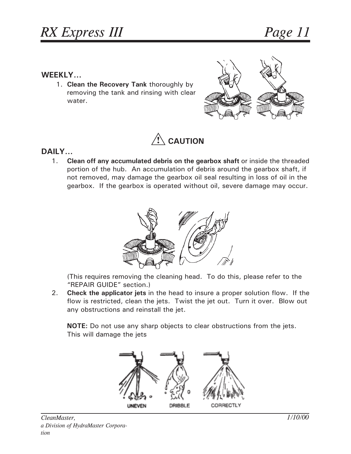#### **WEEKLY...**

 1. **Clean the Recovery Tank** thoroughly by removing the tank and rinsing with clear water.





#### **DAILY...**

1. **Clean off any accumulated debris on the gearbox shaft** or inside the threaded portion of the hub. An accumulation of debris around the gearbox shaft, if not removed, may damage the gearbox oil seal resulting in loss of oil in the gearbox. If the gearbox is operated without oil, severe damage may occur.



(This requires removing the cleaning head. To do this, please refer to the "REPAIR GUIDE" section.)

2. **Check the applicator jets** in the head to insure a proper solution flow. If the flow is restricted, clean the jets. Twist the jet out. Turn it over. Blow out any obstructions and reinstall the jet.

**NOTE:** Do not use any sharp objects to clear obstructions from the jets. This will damage the jets

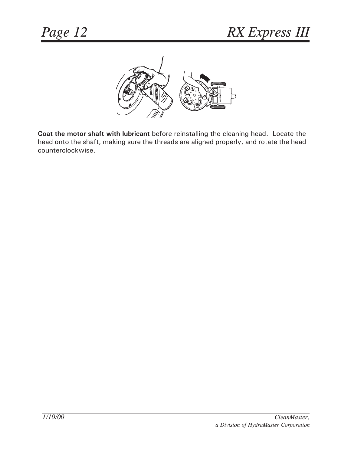

**Coat the motor shaft with lubricant** before reinstalling the cleaning head. Locate the head onto the shaft, making sure the threads are aligned properly, and rotate the head counterclockwise.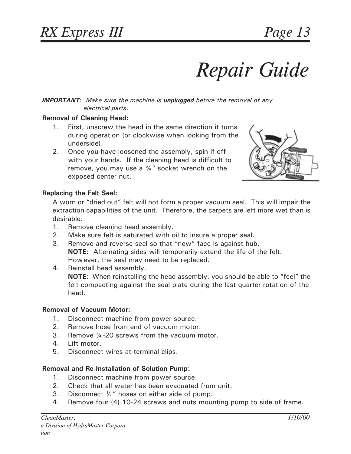## *Repair Guide*

#### *IMPORTANT: Make sure the machine is unplugged before the removal of any electrical parts.*

#### **Removal of Cleaning Head:**

- 1. First, unscrew the head in the same direction it turns during operation (or clockwise when looking from the underside).
- 2. Once you have loosened the assembly, spin if off with your hands. If the cleaning head is difficult to remove, you may use a  $\frac{3}{4}$ " socket wrench on the exposed center nut.



#### **Replacing the Felt Seal:**

A worn or "dried out" felt will not form a proper vacuum seal. This will impair the extraction capabilities of the unit. Therefore, the carpets are left more wet than is desirable.

- 1. Remove cleaning head assembly.
- 2. Make sure felt is saturated with oil to insure a proper seal.
- 3. Remove and reverse seal so that "new" face is against hub. **NOTE:** Alternating sides will temporarily extend the life of the felt. However, the seal may need to be replaced.
- 4. Reinstall head assembly. **NOTE:** When reinstalling the head assembly, you should be able to "feel" the felt compacting against the seal plate during the last quarter rotation of the head.

#### **Removal of Vacuum Motor:**

- 1. Disconnect machine from power source.
- 2. Remove hose from end of vacuum motor.
- 3. Remove ¼-20 screws from the vacuum motor.
- 4. Lift motor.
- 5. Disconnect wires at terminal clips.

#### **Removal and Re-Installation of Solution Pump:**

- 1. Disconnect machine from power source.
- 2. Check that all water has been evacuated from unit.
- 3. Disconnect ½" hoses on either side of pump.
- 4. Remove four (4) 10-24 screws and nuts mounting pump to side of frame.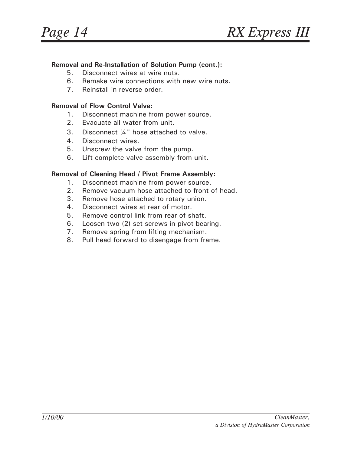#### **Removal and Re-Installation of Solution Pump (cont.):**

- 5. Disconnect wires at wire nuts.
- 6. Remake wire connections with new wire nuts.
- 7. Reinstall in reverse order.

#### **Removal of Flow Control Valve:**

- 1. Disconnect machine from power source.
- 2. Evacuate all water from unit.
- 3. Disconnect ¼" hose attached to valve.
- 4. Disconnect wires.
- 5. Unscrew the valve from the pump.
- 6. Lift complete valve assembly from unit.

#### **Removal of Cleaning Head / Pivot Frame Assembly:**

- 1. Disconnect machine from power source.
- 2. Remove vacuum hose attached to front of head.
- 3. Remove hose attached to rotary union.
- 4. Disconnect wires at rear of motor.
- 5. Remove control link from rear of shaft.
- 6. Loosen two (2) set screws in pivot bearing.
- 7. Remove spring from lifting mechanism.
- 8. Pull head forward to disengage from frame.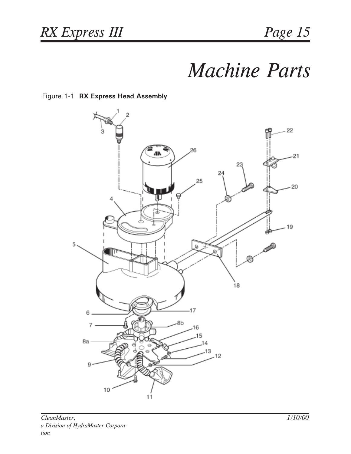### *Machine Parts*

#### Figure 1-1 **RX Express Head Assembly**

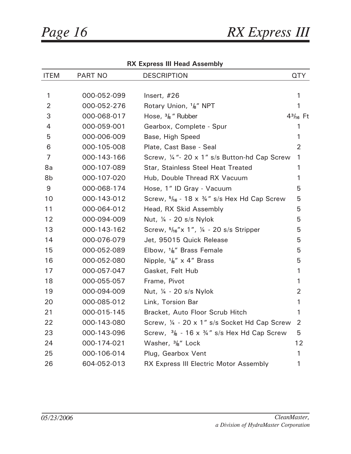| <b>ITEM</b>    | PART NO     | <b>DESCRIPTION</b>                                               | <b>QTY</b>     |
|----------------|-------------|------------------------------------------------------------------|----------------|
|                |             |                                                                  |                |
| 1              | 000-052-099 | Insert, #26                                                      | 1              |
| $\overline{2}$ | 000-052-276 | Rotary Union, <sup>1</sup> / <sub>8</sub> " NPT                  | 1              |
| 3              | 000-068-017 | Hose, $\frac{3}{8}$ " Rubber                                     | $43/16$ Ft     |
| $\overline{4}$ | 000-059-001 | Gearbox, Complete - Spur                                         | 1              |
| 5              | 000-006-009 | Base, High Speed                                                 | $\mathbf{1}$   |
| 6              | 000-105-008 | Plate, Cast Base - Seal                                          | $\overline{2}$ |
| 7              | 000-143-166 | Screw, 1/4 "- 20 x 1" s/s Button-hd Cap Screw                    | $\mathbf{1}$   |
| 8a             | 000-107-089 | <b>Star, Stainless Steel Heat Treated</b>                        | 1              |
| 8b             | 000-107-020 | Hub, Double Thread RX Vacuum                                     | $\mathbf{1}$   |
| 9              | 000-068-174 | Hose, 1" ID Gray - Vacuum                                        | 5              |
| 10             | 000-143-012 | Screw, $5/16 - 18 \times 3/4$ " s/s Hex Hd Cap Screw             | 5              |
| 11             | 000-064-012 | Head, RX Skid Assembly                                           | 5              |
| 12             | 000-094-009 | Nut, ¼ - 20 s/s Nylok                                            | 5              |
| 13             | 000-143-162 | Screw, $5/16$ "x 1", $\frac{1}{4}$ - 20 s/s Stripper             | 5              |
| 14             | 000-076-079 | Jet, 95015 Quick Release                                         | 5              |
| 15             | 000-052-089 | Elbow, $\frac{1}{6}$ " Brass Female                              | 5              |
| 16             | 000-052-080 | Nipple, $\frac{1}{8}$ " x 4" Brass                               | 5              |
| 17             | 000-057-047 | Gasket, Felt Hub                                                 | $\mathbf{1}$   |
| 18             | 000-055-057 | Frame, Pivot                                                     | 1              |
| 19             | 000-094-009 | Nut, ¼ - 20 s/s Nylok                                            | $\overline{2}$ |
| 20             | 000-085-012 | Link, Torsion Bar                                                | $\mathbf{1}$   |
| 21             | 000-015-145 | Bracket, Auto Floor Scrub Hitch                                  | $\mathbf{1}$   |
| 22             | 000-143-080 | Screw, 1/4 - 20 x 1" s/s Socket Hd Cap Screw                     | $\overline{2}$ |
| 23             | 000-143-096 | Screw, $\frac{3}{8}$ - 16 x $\frac{3}{4}$ " s/s Hex Hd Cap Screw | 5              |
| 24             | 000-174-021 | Washer, $\frac{3}{8}$ " Lock                                     | 12             |
| 25             | 000-106-014 | Plug, Gearbox Vent                                               | $\mathbf{1}$   |
| 26             | 604-052-013 | RX Express III Electric Motor Assembly                           | 1              |

**RX Express III Head Assembly**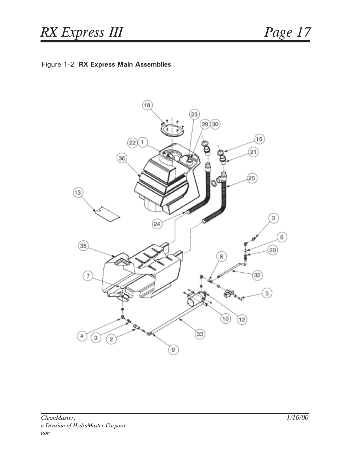#### Figure 1-2 **RX Express Main Assemblies**

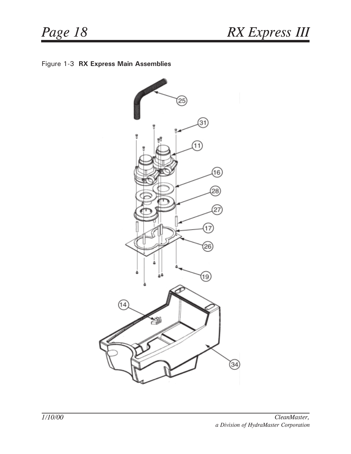

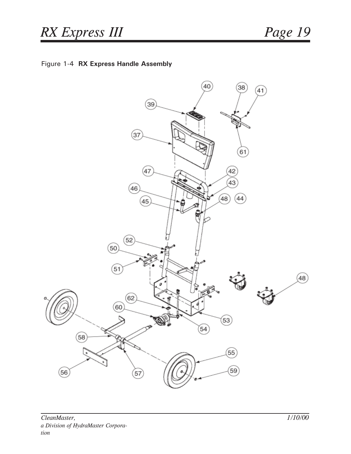

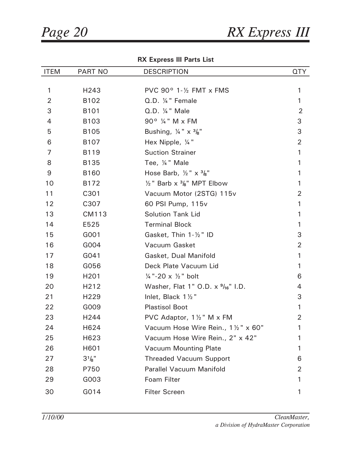#### **RX Express III Parts List**

| <b>ITEM</b>    | PART NO           | <b>DESCRIPTION</b>                                  | <b>QTY</b>     |
|----------------|-------------------|-----------------------------------------------------|----------------|
|                |                   |                                                     |                |
| 1              | H243              | PVC $90^{\circ}$ 1- $\frac{1}{2}$ FMT x FMS         | 1              |
| $\overline{2}$ | B102              | Q.D. ¼ " Female                                     | 1              |
| 3              | B101              | Q.D. 1/4 " Male                                     | $\overline{2}$ |
| 4              | B103              | 90° ¼ " M x FM                                      | 3              |
| 5              | <b>B105</b>       | Bushing, $\frac{1}{4}$ " x $\frac{3}{8}$ "          | 3              |
| 6              | B <sub>107</sub>  | Hex Nipple, 1/4"                                    | $\overline{2}$ |
| 7              | B119              | <b>Suction Strainer</b>                             | 1              |
| 8              | <b>B135</b>       | Tee, 1/4" Male                                      | 1              |
| 9              | <b>B160</b>       | Hose Barb, $\frac{1}{2}$ " x $\frac{3}{8}$ "        |                |
| 10             | B172              | $\frac{1}{2}$ " Barb x $\frac{3}{8}$ " MPT Elbow    | 1              |
| 11             | C301              | Vacuum Motor (2STG) 115v                            | $\overline{2}$ |
| 12             | C307              | 60 PSI Pump, 115v                                   | 1              |
| 13             | CM113             | <b>Solution Tank Lid</b>                            | 1              |
| 14             | E525              | <b>Terminal Block</b>                               | 1              |
| 15             | G001              | Gasket, Thin 1-1/2" ID                              | 3              |
| 16             | G004              | Vacuum Gasket                                       | $\overline{2}$ |
| 17             | G041              | Gasket, Dual Manifold                               | 1              |
| 18             | G056              | Deck Plate Vacuum Lid                               | 1              |
| 19             | H <sub>201</sub>  | $\frac{1}{4}$ "-20 x $\frac{1}{2}$ " bolt           | 6              |
| 20             | H <sub>2</sub> 12 | Washer, Flat 1" O.D. $\times$ $\frac{9}{16}$ " I.D. | 4              |
| 21             | H <sub>229</sub>  | Inlet, Black $1\frac{1}{2}$ "                       | 3              |
| 22             | G009              | <b>Plastisol Boot</b>                               | 1              |
| 23             | H244              | PVC Adaptor, 11/2" M x FM                           | 2              |
| 24             | H624              | Vacuum Hose Wire Rein., 1 1/2" x 60"                | 1              |
| 25             | H623              | Vacuum Hose Wire Rein., 2" x 42"                    |                |
| 26             | H601              | <b>Vacuum Mounting Plate</b>                        |                |
| 27             | $3^{1}/8$ "       | <b>Threaded Vacuum Support</b>                      | 6              |
| 28             | P750              | <b>Parallel Vacuum Manifold</b>                     | 2              |
| 29             | G003              | Foam Filter                                         |                |
| 30             | G014              | <b>Filter Screen</b>                                | 1              |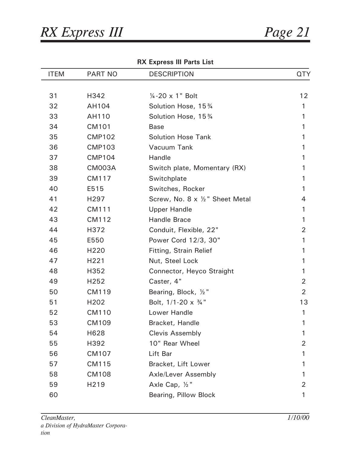| <b>ITEM</b> | <b>PART NO</b>   | <b>DESCRIPTION</b>                  | <b>QTY</b>     |
|-------------|------------------|-------------------------------------|----------------|
|             |                  |                                     |                |
| 31          | H342             | $\frac{1}{4}$ -20 x 1" Bolt         | 12             |
| 32          | AH104            | Solution Hose, 15 3/4               | 1              |
| 33          | AH110            | Solution Hose, 15 3/4               | 1              |
| 34          | <b>CM101</b>     | <b>Base</b>                         | 1              |
| 35          | <b>CMP102</b>    | <b>Solution Hose Tank</b>           | 1              |
| 36          | <b>CMP103</b>    | Vacuum Tank                         | 1              |
| 37          | <b>CMP104</b>    | Handle                              | 1              |
| 38          | <b>CM003A</b>    | Switch plate, Momentary (RX)        | 1              |
| 39          | CM117            | Switchplate                         | 1              |
| 40          | E515             | Switches, Rocker                    | 1              |
| 41          | H <sub>297</sub> | Screw, No. 8 x 1/2" Sheet Metal     | 4              |
| 42          | CM111            | <b>Upper Handle</b>                 | 1              |
| 43          | CM112            | Handle Brace                        | 1              |
| 44          | H372             | Conduit, Flexible, 22"              | 2              |
| 45          | E550             | Power Cord 12/3, 30"                | 1              |
| 46          | H <sub>220</sub> | Fitting, Strain Relief              | 1              |
| 47          | H221             | Nut, Steel Lock                     | 1              |
| 48          | H352             | Connector, Heyco Straight           | 1              |
| 49          | H252             | Caster, 4"                          | 2              |
| 50          | CM119            | Bearing, Block, 1/2"                | $\overline{2}$ |
| 51          | H202             | Bolt, $1/1-20 \times \frac{3}{4}$ " | 13             |
| 52          | <b>CM110</b>     | Lower Handle                        | 1              |
| 53          | CM109            | Bracket, Handle                     | 1              |
| 54          | H628             | <b>Clevis Assembly</b>              | 1              |
| 55          | H392             | 10" Rear Wheel                      | 2              |
| 56          | CM107            | Lift Bar                            | 1              |
| 57          | CM115            | Bracket, Lift Lower                 | 1              |
| 58          | <b>CM108</b>     | Axle/Lever Assembly                 | 1              |
| 59          | H219             | Axle Cap, 1/2"                      | 2              |
| 60          |                  | Bearing, Pillow Block               | 1              |

**RX Express III Parts List**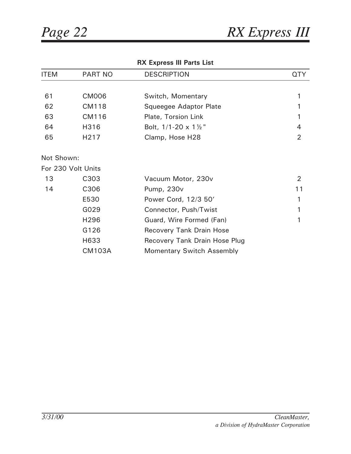| <b>ITEM</b> | <b>PART NO</b>     | <b>DESCRIPTION</b>                 | <b>QTY</b>     |
|-------------|--------------------|------------------------------------|----------------|
|             |                    |                                    |                |
| 61          | <b>CM006</b>       | Switch, Momentary                  | 1              |
| 62          | <b>CM118</b>       | Squeegee Adaptor Plate             |                |
| 63          | CM116              | Plate, Torsion Link                | 1              |
| 64          | H316               | Bolt, $1/1-20 \times 1\frac{1}{2}$ | $\overline{4}$ |
| 65          | H217               | Clamp, Hose H28                    | $\overline{2}$ |
| Not Shown:  |                    |                                    |                |
|             | For 230 Volt Units |                                    |                |
| 13          | C303               | Vacuum Motor, 230v                 | $\overline{2}$ |
| 14          | C306               | Pump, 230v                         | 11             |
|             | E530               | Power Cord, 12/3 50'               | 1              |
|             | G029               | Connector, Push/Twist              | 1              |
|             | H296               | Guard, Wire Formed (Fan)           | 1              |
|             | G126               | <b>Recovery Tank Drain Hose</b>    |                |
|             | H633               | Recovery Tank Drain Hose Plug      |                |
|             | <b>CM103A</b>      | <b>Momentary Switch Assembly</b>   |                |

#### **RX Express III Parts List**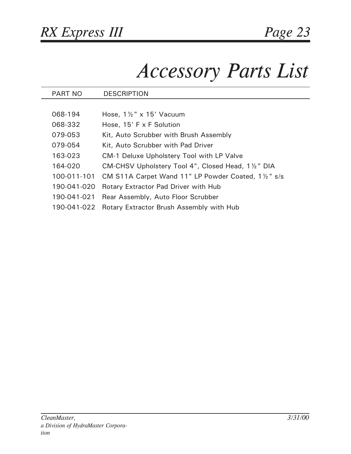### *Accessory Parts List*

| PART NO     | <b>DESCRIPTION</b>                                  |
|-------------|-----------------------------------------------------|
|             |                                                     |
| 068-194     | Hose, $1\frac{1}{2}$ " x 15' Vacuum                 |
| 068-332     | Hose, 15' F x F Solution                            |
| 079-053     | Kit, Auto Scrubber with Brush Assembly              |
| 079-054     | Kit, Auto Scrubber with Pad Driver                  |
| 163-023     | <b>CM-1 Deluxe Upholstery Tool with LP Valve</b>    |
| 164-020     | CM-CHSV Upholstery Tool 4", Closed Head, 1 1/2" DIA |
| 100-011-101 | CM S11A Carpet Wand 11" LP Powder Coated, 1½" s/s   |
| 190-041-020 | <b>Rotary Extractor Pad Driver with Hub</b>         |
| 190-041-021 | Rear Assembly, Auto Floor Scrubber                  |
| 190-041-022 | Rotary Extractor Brush Assembly with Hub            |
|             |                                                     |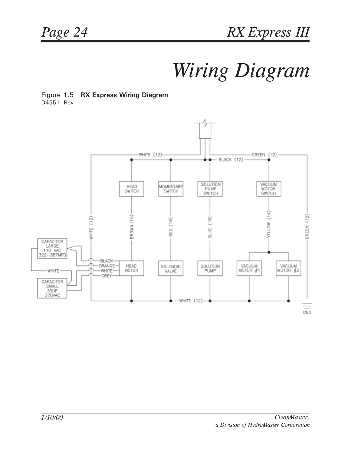### *Wiring Diagram*

Figure 1.5 **RX Express Wiring Diagram** D4551 Rev —

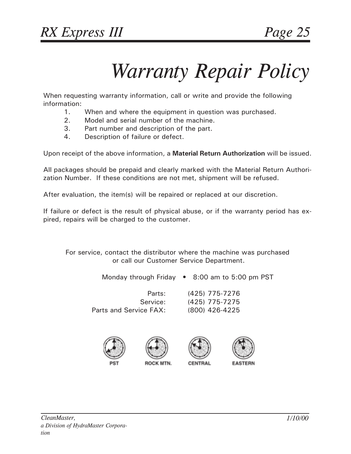### *Warranty Repair Policy*

When requesting warranty information, call or write and provide the following information:

- 1. When and where the equipment in question was purchased.
- 2. Model and serial number of the machine.
- 3. Part number and description of the part.
- 4. Description of failure or defect.

Upon receipt of the above information, a **Material Return Authorization** will be issued.

All packages should be prepaid and clearly marked with the Material Return Authorization Number. If these conditions are not met, shipment will be refused.

After evaluation, the item(s) will be repaired or replaced at our discretion.

If failure or defect is the result of physical abuse, or if the warranty period has expired, repairs will be charged to the customer.

For service, contact the distributor where the machine was purchased or call our Customer Service Department.

Monday through Friday • 8:00 am to 5:00 pm PST

Parts and Service FAX: (800) 426-4225

Parts: (425) 775-7276 Service: (425) 775-7275